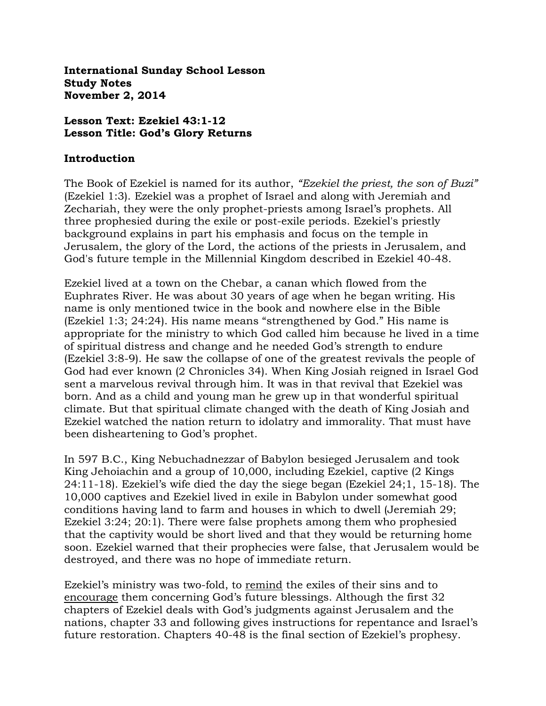**International Sunday School Lesson Study Notes November 2, 2014**

#### **Lesson Text: Ezekiel 43:1-12 Lesson Title: God's Glory Returns**

#### **Introduction**

The Book of Ezekiel is named for its author, *"Ezekiel the priest, the son of Buzi"* (Ezekiel 1:3). Ezekiel was a prophet of Israel and along with Jeremiah and Zechariah, they were the only prophet-priests among Israel's prophets. All three prophesied during the exile or post-exile periods. Ezekiel's priestly background explains in part his emphasis and focus on the temple in Jerusalem, the glory of the Lord, the actions of the priests in Jerusalem, and God's future temple in the Millennial Kingdom described in Ezekiel 40-48.

Ezekiel lived at a town on the Chebar, a canan which flowed from the Euphrates River. He was about 30 years of age when he began writing. His name is only mentioned twice in the book and nowhere else in the Bible (Ezekiel 1:3; 24:24). His name means "strengthened by God." His name is appropriate for the ministry to which God called him because he lived in a time of spiritual distress and change and he needed God's strength to endure (Ezekiel 3:8-9). He saw the collapse of one of the greatest revivals the people of God had ever known (2 Chronicles 34). When King Josiah reigned in Israel God sent a marvelous revival through him. It was in that revival that Ezekiel was born. And as a child and young man he grew up in that wonderful spiritual climate. But that spiritual climate changed with the death of King Josiah and Ezekiel watched the nation return to idolatry and immorality. That must have been disheartening to God's prophet.

In 597 B.C., King Nebuchadnezzar of Babylon besieged Jerusalem and took King Jehoiachin and a group of 10,000, including Ezekiel, captive (2 Kings 24:11-18). Ezekiel's wife died the day the siege began (Ezekiel 24;1, 15-18). The 10,000 captives and Ezekiel lived in exile in Babylon under somewhat good conditions having land to farm and houses in which to dwell (Jeremiah 29; Ezekiel 3:24; 20:1). There were false prophets among them who prophesied that the captivity would be short lived and that they would be returning home soon. Ezekiel warned that their prophecies were false, that Jerusalem would be destroyed, and there was no hope of immediate return.

Ezekiel's ministry was two-fold, to remind the exiles of their sins and to encourage them concerning God's future blessings. Although the first 32 chapters of Ezekiel deals with God's judgments against Jerusalem and the nations, chapter 33 and following gives instructions for repentance and Israel's future restoration. Chapters 40-48 is the final section of Ezekiel's prophesy.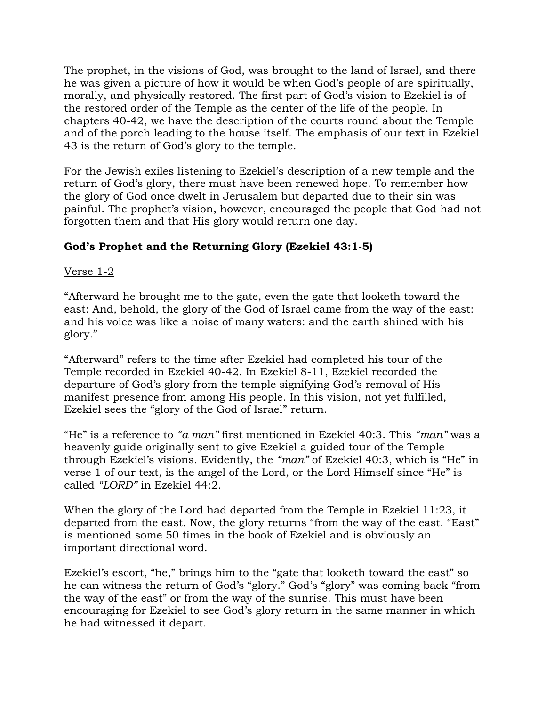The prophet, in the visions of God, was brought to the land of Israel, and there he was given a picture of how it would be when God's people of are spiritually, morally, and physically restored. The first part of God's vision to Ezekiel is of the restored order of the Temple as the center of the life of the people. In chapters 40-42, we have the description of the courts round about the Temple and of the porch leading to the house itself. The emphasis of our text in Ezekiel 43 is the return of God's glory to the temple.

For the Jewish exiles listening to Ezekiel's description of a new temple and the return of God's glory, there must have been renewed hope. To remember how the glory of God once dwelt in Jerusalem but departed due to their sin was painful. The prophet's vision, however, encouraged the people that God had not forgotten them and that His glory would return one day.

# **God's Prophet and the Returning Glory (Ezekiel 43:1-5)**

## Verse 1-2

"Afterward he brought me to the gate, even the gate that looketh toward the east: And, behold, the glory of the God of Israel came from the way of the east: and his voice was like a noise of many waters: and the earth shined with his glory."

"Afterward" refers to the time after Ezekiel had completed his tour of the Temple recorded in Ezekiel 40-42. In Ezekiel 8-11, Ezekiel recorded the departure of God's glory from the temple signifying God's removal of His manifest presence from among His people. In this vision, not yet fulfilled, Ezekiel sees the "glory of the God of Israel" return.

"He" is a reference to *"a man"* first mentioned in Ezekiel 40:3. This *"man"* was a heavenly guide originally sent to give Ezekiel a guided tour of the Temple through Ezekiel's visions. Evidently, the *"man"* of Ezekiel 40:3, which is "He" in verse 1 of our text, is the angel of the Lord, or the Lord Himself since "He" is called *"LORD"* in Ezekiel 44:2.

When the glory of the Lord had departed from the Temple in Ezekiel 11:23, it departed from the east. Now, the glory returns "from the way of the east. "East" is mentioned some 50 times in the book of Ezekiel and is obviously an important directional word.

Ezekiel's escort, "he," brings him to the "gate that looketh toward the east" so he can witness the return of God's "glory." God's "glory" was coming back "from the way of the east" or from the way of the sunrise. This must have been encouraging for Ezekiel to see God's glory return in the same manner in which he had witnessed it depart.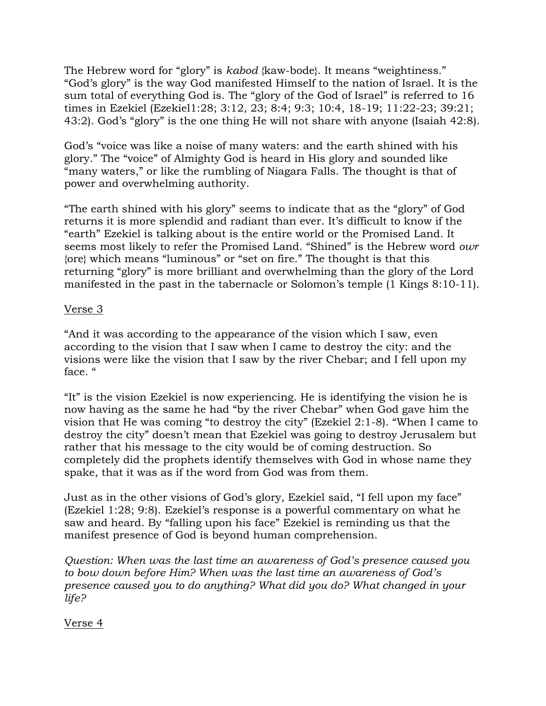The Hebrew word for "glory" is *kabod* {kaw-bode}. It means "weightiness." "God's glory" is the way God manifested Himself to the nation of Israel. It is the sum total of everything God is. The "glory of the God of Israel" is referred to 16 times in Ezekiel (Ezekiel1:28; 3:12, 23; 8:4; 9:3; 10:4, 18-19; 11:22-23; 39:21; 43:2). God's "glory" is the one thing He will not share with anyone (Isaiah 42:8).

God's "voice was like a noise of many waters: and the earth shined with his glory." The "voice" of Almighty God is heard in His glory and sounded like "many waters," or like the rumbling of Niagara Falls. The thought is that of power and overwhelming authority.

"The earth shined with his glory" seems to indicate that as the "glory" of God returns it is more splendid and radiant than ever. It's difficult to know if the "earth" Ezekiel is talking about is the entire world or the Promised Land. It seems most likely to refer the Promised Land. "Shined" is the Hebrew word *owr*  {ore} which means "luminous" or "set on fire." The thought is that this returning "glory" is more brilliant and overwhelming than the glory of the Lord manifested in the past in the tabernacle or Solomon's temple (1 Kings 8:10-11).

## Verse 3

"And it was according to the appearance of the vision which I saw, even according to the vision that I saw when I came to destroy the city: and the visions were like the vision that I saw by the river Chebar; and I fell upon my face. "

"It" is the vision Ezekiel is now experiencing. He is identifying the vision he is now having as the same he had "by the river Chebar" when God gave him the vision that He was coming "to destroy the city" (Ezekiel 2:1-8). "When I came to destroy the city" doesn't mean that Ezekiel was going to destroy Jerusalem but rather that his message to the city would be of coming destruction. So completely did the prophets identify themselves with God in whose name they spake, that it was as if the word from God was from them.

Just as in the other visions of God's glory, Ezekiel said, "I fell upon my face" (Ezekiel 1:28; 9:8). Ezekiel's response is a powerful commentary on what he saw and heard. By "falling upon his face" Ezekiel is reminding us that the manifest presence of God is beyond human comprehension.

*Question: When was the last time an awareness of God's presence caused you to bow down before Him? When was the last time an awareness of God's presence caused you to do anything? What did you do? What changed in your life?*

Verse 4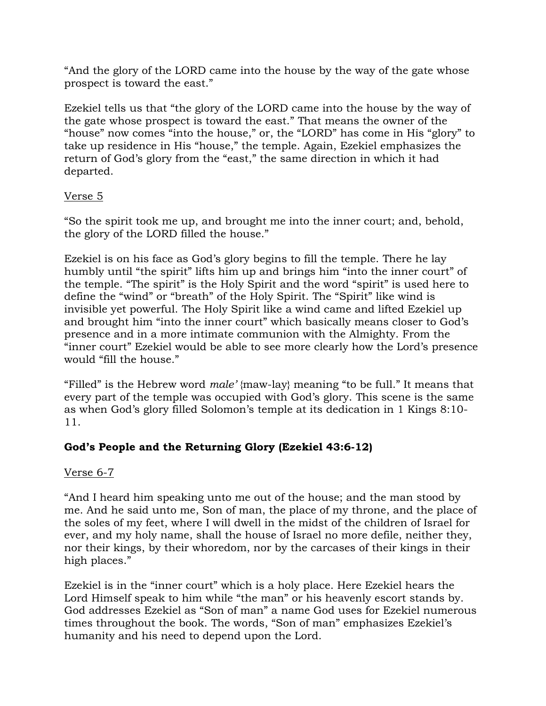"And the glory of the LORD came into the house by the way of the gate whose prospect is toward the east."

Ezekiel tells us that "the glory of the LORD came into the house by the way of the gate whose prospect is toward the east." That means the owner of the "house" now comes "into the house," or, the "LORD" has come in His "glory" to take up residence in His "house," the temple. Again, Ezekiel emphasizes the return of God's glory from the "east," the same direction in which it had departed.

## Verse 5

"So the spirit took me up, and brought me into the inner court; and, behold, the glory of the LORD filled the house."

Ezekiel is on his face as God's glory begins to fill the temple. There he lay humbly until "the spirit" lifts him up and brings him "into the inner court" of the temple. "The spirit" is the Holy Spirit and the word "spirit" is used here to define the "wind" or "breath" of the Holy Spirit. The "Spirit" like wind is invisible yet powerful. The Holy Spirit like a wind came and lifted Ezekiel up and brought him "into the inner court" which basically means closer to God's presence and in a more intimate communion with the Almighty. From the "inner court" Ezekiel would be able to see more clearly how the Lord's presence would "fill the house."

"Filled" is the Hebrew word *male'* {maw-lay} meaning "to be full." It means that every part of the temple was occupied with God's glory. This scene is the same as when God's glory filled Solomon's temple at its dedication in 1 Kings 8:10- 11.

# **God's People and the Returning Glory (Ezekiel 43:6-12)**

## Verse 6-7

"And I heard him speaking unto me out of the house; and the man stood by me. And he said unto me, Son of man, the place of my throne, and the place of the soles of my feet, where I will dwell in the midst of the children of Israel for ever, and my holy name, shall the house of Israel no more defile, neither they, nor their kings, by their whoredom, nor by the carcases of their kings in their high places."

Ezekiel is in the "inner court" which is a holy place. Here Ezekiel hears the Lord Himself speak to him while "the man" or his heavenly escort stands by. God addresses Ezekiel as "Son of man" a name God uses for Ezekiel numerous times throughout the book. The words, "Son of man" emphasizes Ezekiel's humanity and his need to depend upon the Lord.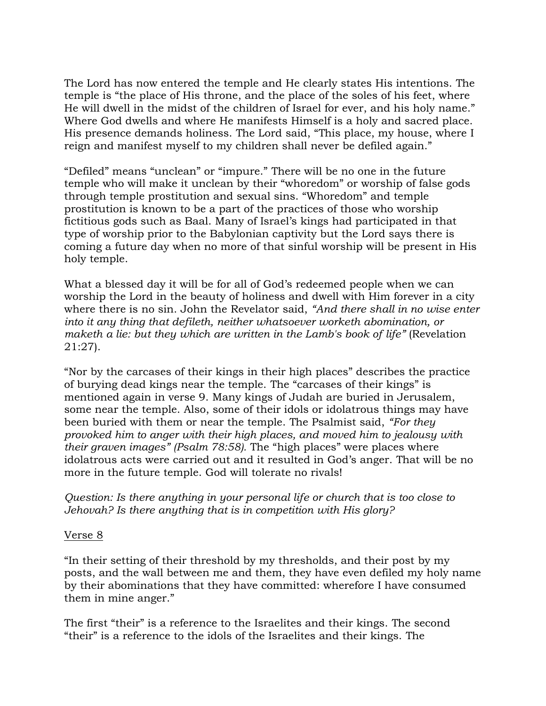The Lord has now entered the temple and He clearly states His intentions. The temple is "the place of His throne, and the place of the soles of his feet, where He will dwell in the midst of the children of Israel for ever, and his holy name." Where God dwells and where He manifests Himself is a holy and sacred place. His presence demands holiness. The Lord said, "This place, my house, where I reign and manifest myself to my children shall never be defiled again."

"Defiled" means "unclean" or "impure." There will be no one in the future temple who will make it unclean by their "whoredom" or worship of false gods through temple prostitution and sexual sins. "Whoredom" and temple prostitution is known to be a part of the practices of those who worship fictitious gods such as Baal. Many of Israel's kings had participated in that type of worship prior to the Babylonian captivity but the Lord says there is coming a future day when no more of that sinful worship will be present in His holy temple.

What a blessed day it will be for all of God's redeemed people when we can worship the Lord in the beauty of holiness and dwell with Him forever in a city where there is no sin. John the Revelator said, *"And there shall in no wise enter into it any thing that defileth, neither whatsoever worketh abomination, or maketh a lie: but they which are written in the Lamb's book of life"* (Revelation 21:27).

"Nor by the carcases of their kings in their high places" describes the practice of burying dead kings near the temple. The "carcases of their kings" is mentioned again in verse 9. Many kings of Judah are buried in Jerusalem, some near the temple. Also, some of their idols or idolatrous things may have been buried with them or near the temple. The Psalmist said, *"For they provoked him to anger with their high places, and moved him to jealousy with their graven images" (Psalm 78:58).* The "high places" were places where idolatrous acts were carried out and it resulted in God's anger. That will be no more in the future temple. God will tolerate no rivals!

*Question: Is there anything in your personal life or church that is too close to Jehovah? Is there anything that is in competition with His glory?*

#### Verse 8

"In their setting of their threshold by my thresholds, and their post by my posts, and the wall between me and them, they have even defiled my holy name by their abominations that they have committed: wherefore I have consumed them in mine anger."

The first "their" is a reference to the Israelites and their kings. The second "their" is a reference to the idols of the Israelites and their kings. The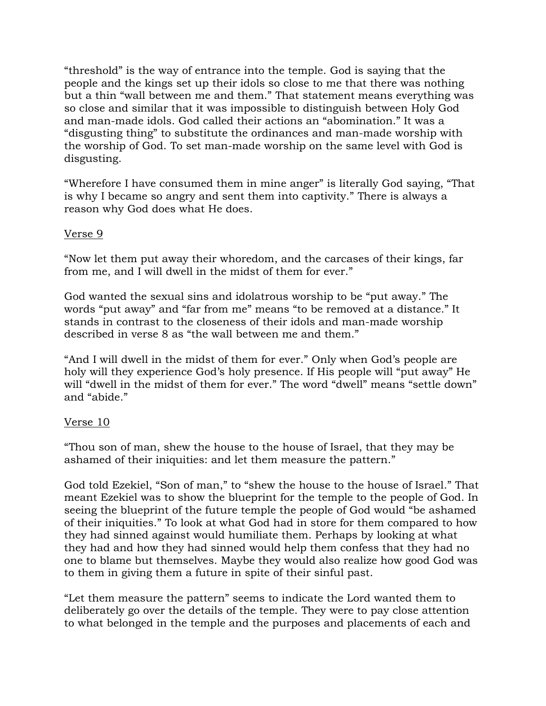"threshold" is the way of entrance into the temple. God is saying that the people and the kings set up their idols so close to me that there was nothing but a thin "wall between me and them." That statement means everything was so close and similar that it was impossible to distinguish between Holy God and man-made idols. God called their actions an "abomination." It was a "disgusting thing" to substitute the ordinances and man-made worship with the worship of God. To set man-made worship on the same level with God is disgusting.

"Wherefore I have consumed them in mine anger" is literally God saying, "That is why I became so angry and sent them into captivity." There is always a reason why God does what He does.

## Verse 9

"Now let them put away their whoredom, and the carcases of their kings, far from me, and I will dwell in the midst of them for ever."

God wanted the sexual sins and idolatrous worship to be "put away." The words "put away" and "far from me" means "to be removed at a distance." It stands in contrast to the closeness of their idols and man-made worship described in verse 8 as "the wall between me and them."

"And I will dwell in the midst of them for ever." Only when God's people are holy will they experience God's holy presence. If His people will "put away" He will "dwell in the midst of them for ever." The word "dwell" means "settle down" and "abide."

#### Verse 10

"Thou son of man, shew the house to the house of Israel, that they may be ashamed of their iniquities: and let them measure the pattern."

God told Ezekiel, "Son of man," to "shew the house to the house of Israel." That meant Ezekiel was to show the blueprint for the temple to the people of God. In seeing the blueprint of the future temple the people of God would "be ashamed of their iniquities." To look at what God had in store for them compared to how they had sinned against would humiliate them. Perhaps by looking at what they had and how they had sinned would help them confess that they had no one to blame but themselves. Maybe they would also realize how good God was to them in giving them a future in spite of their sinful past.

"Let them measure the pattern" seems to indicate the Lord wanted them to deliberately go over the details of the temple. They were to pay close attention to what belonged in the temple and the purposes and placements of each and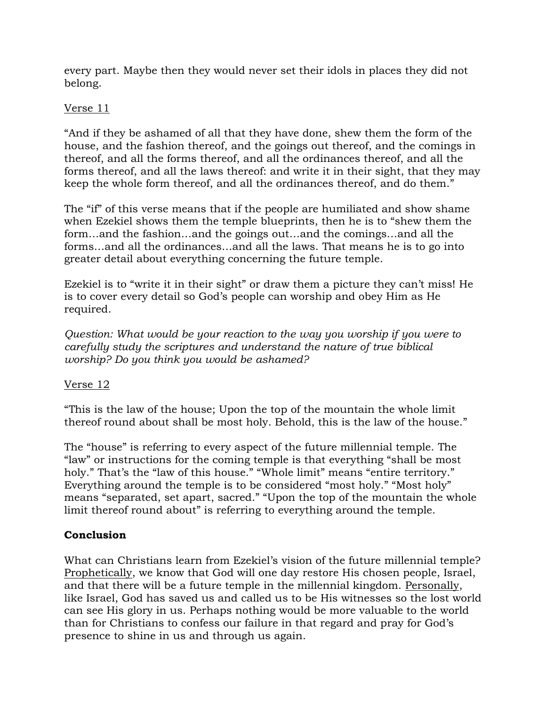every part. Maybe then they would never set their idols in places they did not belong.

## Verse 11

"And if they be ashamed of all that they have done, shew them the form of the house, and the fashion thereof, and the goings out thereof, and the comings in thereof, and all the forms thereof, and all the ordinances thereof, and all the forms thereof, and all the laws thereof: and write it in their sight, that they may keep the whole form thereof, and all the ordinances thereof, and do them."

The "if" of this verse means that if the people are humiliated and show shame when Ezekiel shows them the temple blueprints, then he is to "shew them the form…and the fashion…and the goings out…and the comings…and all the forms…and all the ordinances…and all the laws. That means he is to go into greater detail about everything concerning the future temple.

Ezekiel is to "write it in their sight" or draw them a picture they can't miss! He is to cover every detail so God's people can worship and obey Him as He required.

*Question: What would be your reaction to the way you worship if you were to carefully study the scriptures and understand the nature of true biblical worship? Do you think you would be ashamed?*

Verse 12

"This is the law of the house; Upon the top of the mountain the whole limit thereof round about shall be most holy. Behold, this is the law of the house."

The "house" is referring to every aspect of the future millennial temple. The "law" or instructions for the coming temple is that everything "shall be most holy." That's the "law of this house." "Whole limit" means "entire territory." Everything around the temple is to be considered "most holy." "Most holy" means "separated, set apart, sacred." "Upon the top of the mountain the whole limit thereof round about" is referring to everything around the temple.

## **Conclusion**

What can Christians learn from Ezekiel's vision of the future millennial temple? Prophetically, we know that God will one day restore His chosen people, Israel, and that there will be a future temple in the millennial kingdom. Personally, like Israel, God has saved us and called us to be His witnesses so the lost world can see His glory in us. Perhaps nothing would be more valuable to the world than for Christians to confess our failure in that regard and pray for God's presence to shine in us and through us again.